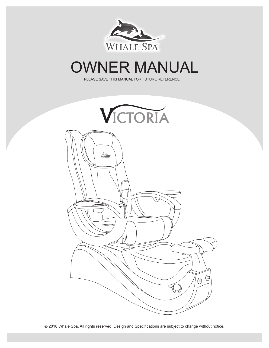

# OWNER MANUAL

PLEASE SAVE THIS MANUAL FOR FUTURE REFERENCE

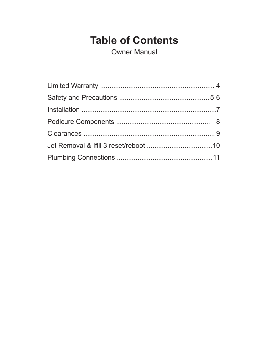# **Table of Contents**

**Owner Manual**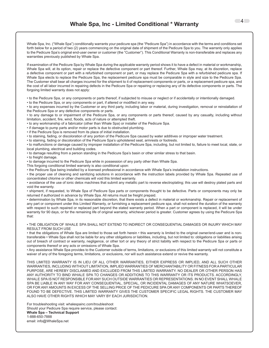Whale Spa, Inc. ("Whale Spa") conditionally warrants your pedicure spa (the "Pedicure Spa") in accordance with the terms and conditions set forth below for a period of two (2) years commencing on the original date of shipment of the Pedicure Spa to you. The warranty only applies to the Pedicure Spa's original end-user owner or customer (the "Customer"). This Conditional Warranty is non-transferable and replaces any warranties previously published by Whale Spa.

If examination of the Pedicure Spa by Whale Spa during the applicable warranty period shows it to have a defect in material or workmanship, Whale Spa will, at its option, repair or replace the defective component or part thereof. Further, Whale Spa may, at its discretion, replace a defective component or part with a refurbished component or part, or may replace the Pedicure Spa with a refurbished pedicure spa. If Whale Spa elects to replace the Pedicure Spa, the replacement pedicure spa must be comparable in style and size to the Pedicure Spa. The Customer shall bear all charges incurred for the shipment to it of replacement components or parts, or a replacement pedicure spa, and the cost of all labor incurred in repairing defects in the Pedicure Spa or repairing or replacing any of its defective components or parts. The forgoing limited warranty does not apply:

• to the Pedicure Spa, or any components or parts thereof, if subjected to misuse or neglect or if accidentally or intentionally damaged.

• to the Pedicure Spa, or any components or part, if altered or modified in any way.

• to any expenses incurred by the Customer or any third party, including labor or material, during investigation, removal or reinstallation of the Pedicure Spa or any defective components or parts.

• to any damage to or impairment of the Pedicure Spa, or any components or parts thereof, caused by any casualty, including without limitation, accident, fire, wind, floods, acts of nature or attempted theft.

• to any workmanship of a fabricator (other than Whale Spa) or installer of the Pedicure Spa.

• if damage to pump parts and/or motor parts is due to obstructed plumbing.

• if the Pedicure Spa is removed from its place of initial installation.

• to staining, fading, or discoloration of any portion of the Pedicure Spa caused by water additives or improper water treatment.

• to staining, fading or discoloration of the Pedicure Spa's upholstered seat, armrests or footrests.

• to malfunctions or damage caused by improper installation of the Pedicure Spa, including, but not limited to, failure to meet local, state, or local plumbing, electrical and building codes.

• to damage resulting from a person standing in the Pedicure Spa's basin or other similar stress to that basin.

• to freight damage.

• to damage incurred to the Pedicure Spa while in possession of any party other than Whale Spa.

- This forgoing conditional limited warranty is also conditional upon:
- the Pedicure Spa being installed by a licensed professional in accordance with Whale Spa's installation instructions.

• the proper use of cleaning and sanitizing solutions in accordance with the instruction labels provided by Whale Spa. Repeated use of concentrated chlorine or other chemicals will void this limited warranty.

• avoidance of the use of ionic detox machines that submit any metallic part to reverse electroplating; this use will destroy plated parts and void the warranty.

• shipment, if requested, to Whale Spa of Pedicure Spa parts or components thought to be defective. Parts or components may only be returned if authorized in advance by Whale Spa. All returns must be freight prepaid.

• determination by Whale Spa, in its reasonable discretion, that there exists a defect in material or workmanship. Repair or replacement of any part or component under this Limited Warranty, or furnishing a replacement pedicure spa, shall not extend the duration of the warranty with respect to such repaired or replaced part beyond the stated warranty period. When a part or component is replaced, it will be under warranty for 90 days, or for the remaining life of original warranty, whichever period is greater. Customer agrees by using the Pedicure Spa that:

• THE OBLIGATION OF WHALE SPA SHALL NOT EXTEND TO INDIRECT OR CONSEQUENTIAL DAMAGES OR INJURY WHICH MAY RESULT FROM SUCH USE

• that the obligations of Whale Spa are limited to those set forth herein • this warranty is limited to the original owner/end-user and is nontransferable • Whale Spa shall not be liable for any other obligations or liabilities, including, but not limited to: obligations or liabilities arising out of breach of contract or warranty, negligence, or other tort or any theory of strict liability with respect to the Pedicure Spa or parts or components thereof or any acts or omissions of Whale Spa.

• Any assistance Whale Spa provides to the Customer outside of terms, limitations, or exclusions of this limited warranty will not constitute a waiver of any of the foregoing terms, limitations, or exclusions, nor will such assistance extend or revive the warranty.

THIS LIMITED WARRANTY IS IN LIEU OF ALL OTHER WARRANTIES, EITHER EXPRESS OR IMPLIED, AND ALL SUCH OTHER WARRANTIES, INCLUDING WITHOUT LIMITATION, IMPLIED WARRANTIES OF MERCHANTABILITY OR FITNESS FOR A PARTICULAR PURPOSE, ARE HEREBY DISCLAIMED AND EXCLUDED FROM THIS LIMITED WARRANTY. NO DEALER OR OTHER PERSON HAS ANY AUTHORITY TO BIND WHALE SPA TO CHANGES OR ADDITIONS TO THIS WARRANTY OR ITS PRODUCTS. ACCORDINGLY, WHALE SPA IS NOT RESPONSIBLE FOR ANY SUCH OUTSIDE WARRANTIES OR REPRESENTATIONS. IN NO EVENT SHALL WHALE SPA BE LIABLE IN ANY WAY FOR ANY CONSEQUENTIAL, SPECIAL, OR INCIDENTAL DAMAGES OF ANY NATURE WHATSOEVER, OR FOR ANY AMOUNTS IN EXCESS OF THE SELLING PRICE OF THE PEDICURE SPA OR ANY COMPONENTS OR PARTS THEREOF FOUND TO BE DEFECTIVE. THIS LIMITED WARRANTY GIVES THE CUSTOMER SPECIFIC LEGAL RIGHTS. THE CUSTOMER MAY ALSO HAVE OTHER RIGHTS WHICH MAY VARY BY EACH JURISDICTION.

For troubleshooting visit: whalespainc.com/troubleshoot Should your Pedicure Spa require service, please contact: **Whale Spa – Technical Support** 1-888-650-7888 email: info@WhaleSpa.net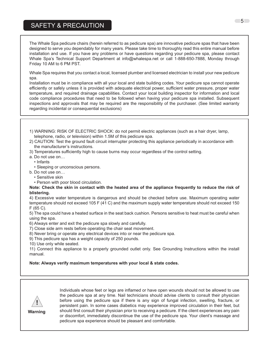## SAFETY & PRECAUTION SAFETY & PRECAUTION

The Whale Spa pedicure chairs (herein referred to as pedicure spa) are innovative pedicure spas that have been designed to serve you dependably for many years. Please take time to thoroughly read this entire manual before installation and use. If you have any problems or have questions regarding your pedicure spa, please contact Whale Spa's Technical Support Department at info@whalespa.net or call 1-888-650-7888, Monday through<br>Eriday 19.0M to 6.BM PST Friday 10 AM to 6 PM PST.

safely unless it is provided with adequate electrical power, sufficient water pressure, proper water temperature, and required Whale Spa requires that you contact a local, licensed plumber and licensed electrician to install your new pedicure  $t$ obe followed when having your pedicure spa installed. Subsequent inspections and approvals that may be required are the that may be required as  $\alpha$ spa.

Installation must be in compliance with all your local and state building codes. Your pedicure spa cannot operate efficiently or safely unless it is provided with adequate electrical power, sufficient water pressure, proper water temperature, and required drainage capabilities. Contact your local building inspector for information and local code compliance procedures that need to be followed when having your pedicure spa installed. Subsequent inspections and approvals that may be required are the responsibility of the purchaser. (See limited warranty regarding incidental or consequential exclusions)

- 1) WARNING: RISK OF ELECTRIC SHOCK: do not permit electric appliances (such as a hair dryer, lamp, telephone, r<br>... telephone, radio, or television) within 1.5M of this pedicure spa.
- 2) CAUTION: Test the ground fault circuit interrupter protecting this appliance periodically in accordance with the manufacturer's instructions. manufacturer's instructions.
- 3) Temperatures sufficiently high to cause burns may occur regardless of the control setting. 3) Temperatures sufficiently high to cause burns may occur regardless of the control setting.
- a. Do not use on… a. Do not use on…
- Infants Infants
- miants<br>• Sleeping or unconscious persons. • Sleeping or unconscious pers
- b. Do not use on… b. Do not use on…
- Sensitive skin Sensitive skin
- Person with poor blood circulation. Person with poor blood circulation.

#### Note: Check the skin in contact with the heated area of the appliance frequently to reduce the risk of **blistering.** 4) Excessive water temperature is dangerous and should be checked before use. Maximum operating water temperature

unstering.<br>4) Excessive water temperature is dangerous and should be checked before use. Maximum operating water temperature should not exceed 105 F (41 C) and the maximum supply water temperature should not exceed 150  $F(65 C)$ . 4) Excessive water temperature is dangerous and should be checked before use. Maximum operating water

5) The spa could have a heated surface in the seat back cushion. Persons sensitive to heat must be careful when using the spa. This peak weight capacity of 250 pounds.

6) Always enter and exit the pedicure spa slowly and carefully.

- Fig. and you can control the chair see Grounded outlet on the instructions.<br>T) Close side arm rests before operating the chair seat movement.
- 8) Never bring or operate any electrical devices into or near the pedicure spa.
- by Never bring or operate any electrical devices like of rice<br>9) This pedicure spa has a weight capacity of 250 pounds.
	- 10) Use only while seated.

11) Connect this appliance to a properly grounded outlet only. See Grounding Instructions within the install manual.

**Note: Always verify maximum temperatures with your local & state codes.**



before using the pedicure spa if there is any sign of fungal infection, swelling, fracture, or persistent pain. In some cases diabetics may experience improved circulation in their feet, but should first consult their physician prior to receiving a pedicure. If the client experiences any pain or discomfort, immediately discontinue the use of the pedicure spa. Your client's massage and experiences and pain or discomposition or discontinue the use of the use of the use of the use of the pedicure spa. Your client's massage and and pedicure spa experience should be pleasant and comfortable. pedicure spa experience should be pleasant and comfortable. Individuals whose feet or legs are inflamed or have open wounds should not be allowed to use the pedicure spa at any time. Nail technicians should advise clients to consult their physician

 $-5$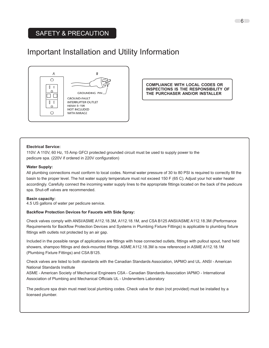### SAFETY & PRECAUTION SAFETY & PRECAUTION

# Important Installation and Utility Information



**COMPLIANCE WITH LOCAL CODES OR INSPECTIONS IS THE RESPONSIBILITY OF THE PURCHASER AND/OR INSTALLER**

#### **Electrical Service:**

110V: A 110V, 60 Hz, 15 Amp GFCI protected grounded circuit must be used to supply power to the pedicure spa. (220V if ordered in 220V configuration)

#### **Water Supply:**

All plumbing connections must conform to local codes. Normal water pressure of 30 to 80 PSI is required to correctly fill the basin to the proper level. The hot water supply temperature must not exceed 150 F (65 C). Adjust your hot water heater accordingly. Carefully connect the incoming water supply lines to the appropriate fittings located on the back of the pedicure spa. Shut-off valves are recommended.

#### **Basin capacity:**

4.5 US gallons of water per pedicure service.

#### **Backflow Protection Devices for Faucets with Side Spray:**

Check valves comply with ANSI/ASME A112.18.3M, A112.18.1M, and CSA B125 ANSI/ASME A112.18.3M (Performance Requirements for Backflow Protection Devices and Systems in Plumbing Fixture Fittings) is applicable to plumbing fixture fittings with outlets not protected by an air gap.

Included in the possible range of applications are fittings with hose connected outlets, fittings with pullout spout, hand held showers, shampoo fittings and deck-mounted fittings. ASME A112.18.3M is now referenced in ASME A112.18.1M (Plumbing Fixture Fittings) and CSA B125.

Check valves are listed to both standards with the Canadian Standards Association, IAPMO and UL. ANSI - American National Standards Institute

ASME - American Society of Mechanical Engineers CSA - Canadian Standards Association IAPMO - International Association of Plumbing and Mechanical Officials UL - Underwriters Laboratory

The pedicure spa drain must meet local plumbing codes. Check valve for drain (not provided) must be installed by a licensed plumber.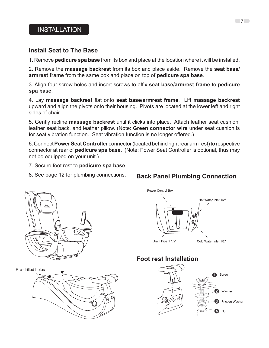### **Install Seat to The Base**

1. Remove **pedicure spa base** from its box and place at the location where it will be installed.

2. Remove the **massage backrest** from its box and place aside. Remove the **seat base/ armrest frame** from the same box and place on top of **pedicure spa base**.

3. Align four screw holes and insert screws to affix **seat base/armrest frame** to **pedicure spa base**.

4. Lay **massage backrest** flat onto **seat base/armrest frame**. Lift **massage backrest** upward and align the pivots onto their housing. Pivots are located at the lower left and right sides of chair.

5. Gently recline **massage backrest** until it clicks into place. Attach leather seat cushion, leather seat back, and leather pillow. (Note: **Green connector wire** under seat cushion is for seat vibration function. Seat vibration function is no longer offered.)

6. Connect **Power Seat Controller** connector (located behind right rear arm rest) to respective connector at rear of **pedicure spa base**. (Note: Power Seat Controller is optional, thus may not be equipped on your unit.)

- 7. Secure foot rest to **pedicure spa base**.
- 8. See page 12 for plumbing connections.



# **Back Panel Plumbing Connection**



# **Foot rest Installation**

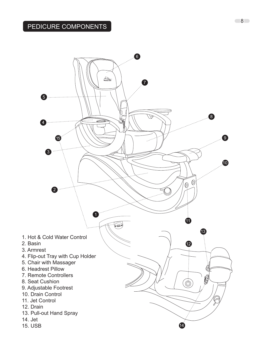

8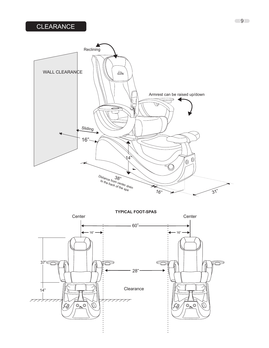# **CLEARANCE**





9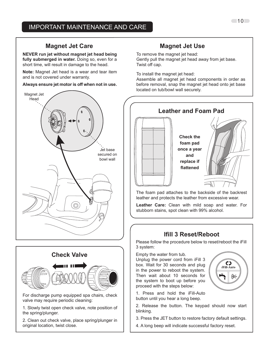#### **Magnet Jet Care Magnet Jet Use**

**NEVER run jet without magnet jet head being**  fully submerged in water. Doing so, even for a short time, will result in damage to the head.

**Note:** Magnet Jet head is a wear and tear item and is not covered under warranty.

#### **Always ensure jet motor is off when not in use.**



# **Check Valve**

For discharge pump equipped spa chairs, check valve may require periodic cleaning:

1. Slowly twist open check valve, note position of  $\begin{bmatrix} 2 & 2 \end{bmatrix}$  2. Releas the spring/plunger.

| 2. Clean out check valve, place spring/plunger in original location, twist close.

To remove the magnet jet head:

Gently pull the magnet jet head away from jet base. Twist off cap.

To install the magnet jet head:

Assemble all magnet jet head components in order as before removal, snap the magnet jet head onto jet base located on tub/bowl wall securely.



leather and protects the leather from excessive wear.

**Leather Care:** Clean with mild soap and water. For stubborn stains, spot clean with 99% alcohol.

## **Ifill 3 Reset/Reboot**

Please follow the procedure below to reset/reboot the iFill 3 system:

Empty the water from tub.

Unplug the power cord from iFill 3 box. Wait for 30 seconds and plug in the power to reboot the system. Then wait about 10 seconds for the system to boot up before you proceed with the steps below:



- 1. Press and hold the iFill-Auto button until you hear a long beep.
- 2. Release the button. The keypad should now start blinking.
- 3. Press the JET button to restore factory default settings.
- 4. A long beep will indicate successful factory reset.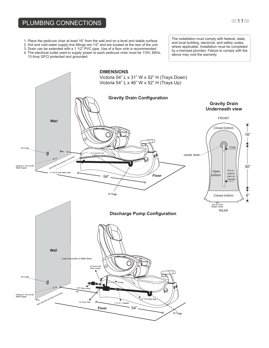#### PLUMBING CONNECTIONS

- 1. Place the pedicure chair at least 16" from the wall and on a level and stable surface.
- 2. Hot and cold water supply line fittings are 1/2" and are located at the rear of the unit.
- 3. Drain can be extended with a 1 1/2" PVC pipe. Use of a floor sink is recommended.
- 4. The electrical outlet used to supply power to each pedicure chair must be 110V, 60Hz, 15 Amp GFCI protected and grounded.

The installation must comply with federal, state, and local building, electrical, and safety codes, where applicable. Installation must be completed by a licensed plumber. Failure to comply with the above may void the warranty.